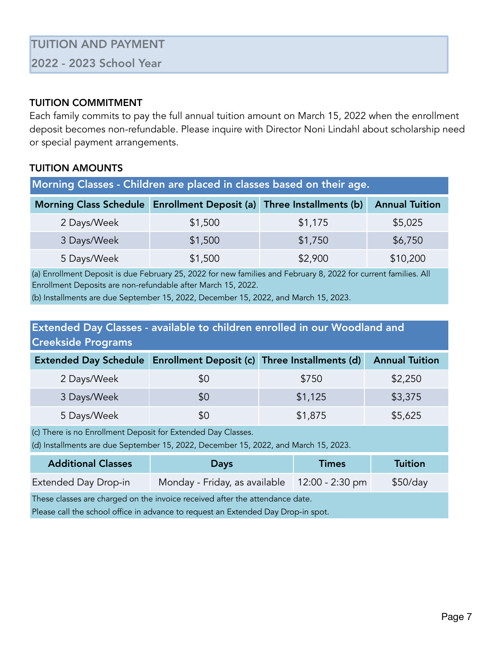### TUITION COMMITMENT

Each family commits to pay the full annual tuition amount on March 15, 2022 when the enrollment deposit becomes non-refundable. Please inquire with Director Noni Lindahl about scholarship need or special payment arrangements.

## TUITION AMOUNTS

| Morning Classes - Children are placed in classes based on their age. |         |         |                       |
|----------------------------------------------------------------------|---------|---------|-----------------------|
| Morning Class Schedule Enrollment Deposit (a) Three Installments (b) |         |         | <b>Annual Tuition</b> |
| 2 Days/Week                                                          | \$1,500 | \$1,175 | \$5,025               |
| 3 Days/Week                                                          | \$1,500 | \$1,750 | \$6,750               |
| 5 Days/Week                                                          | \$1,500 | \$2,900 | \$10,200              |

(a) Enrollment Deposit is due February 25, 2022 for new families and February 8, 2022 for current families. All Enrollment Deposits are non-refundable after March 15, 2022.

(b) Installments are due September 15, 2022, December 15, 2022, and March 15, 2023.

# Extended Day Classes - available to children enrolled in our Woodland and Creekside Programs

| <b>Extended Day Schedule</b> | Enrollment Deposit (c) Three Installments (d) |         | <b>Annual Tuition</b> |
|------------------------------|-----------------------------------------------|---------|-----------------------|
| 2 Days/Week                  | \$0                                           | \$750   | \$2,250               |
| 3 Days/Week                  | \$0                                           | \$1,125 | \$3,375               |
| 5 Days/Week                  | \$Ο                                           | \$1,875 | \$5,625               |

(c) There is no Enrollment Deposit for Extended Day Classes.

(d) Installments are due September 15, 2022, December 15, 2022, and March 15, 2023.

| <b>Additional Classes</b>                                                    | <b>Days</b>                                   | <b>Times</b> | Tuition  |
|------------------------------------------------------------------------------|-----------------------------------------------|--------------|----------|
| Extended Day Drop-in                                                         | Monday - Friday, as available 12:00 - 2:30 pm |              | \$50/day |
| These classes are charged on the invoice received after the attendance date. |                                               |              |          |

Please call the school office in advance to request an Extended Day Drop-in spot.